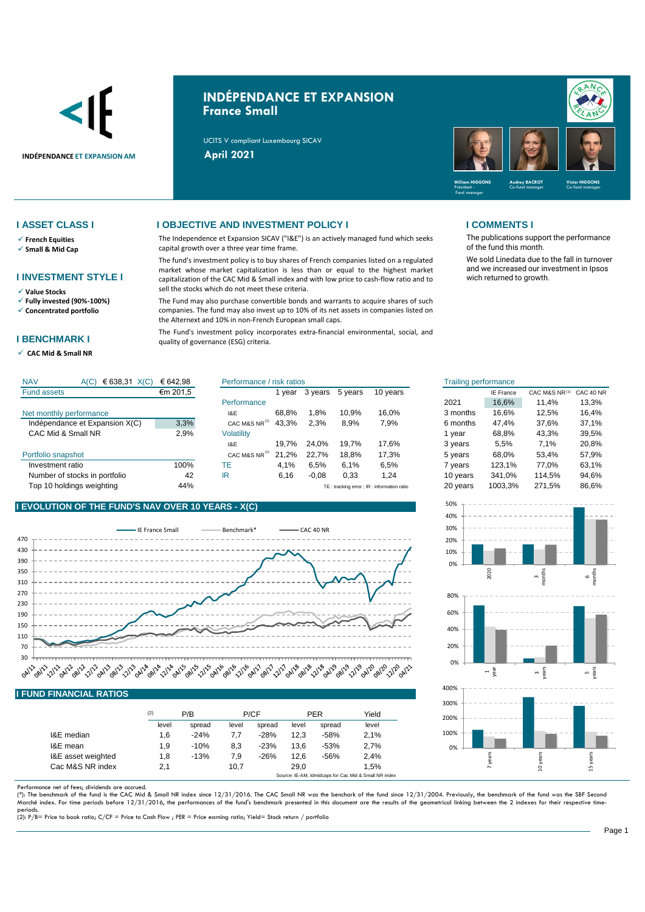

# **INDÉPENDANCE ET EXPANSION France Small**

UCITS V compliant Luxembourg SICAV



- ✓ **French Equities**
- ✓ **Small & Mid Cap**

## **I INVESTMENT STYLE I**

- ✓ **Value Stocks**
- ✓ **Fully invested (90%-100%)** ✓ **Concentrated portfolio**
- 

# **I BENCHMARK I**

✓ **CAC Mid & Small NR** 

## **I ASSET CLASS I I OBJECTIVE AND INVESTMENT POLICY I I COMMENTS I**

The Independence et Expansion SICAV ("I&E") is an actively managed fund which seeks capital growth over a three year time frame.

The fund's investment policy is to buy shares of French companies listed on a regulated market whose market capitalization is less than or equal to the highest market capitalization of the CAC Mid & Small index and with low price to cash-flow ratio and to sell the stocks which do not meet these criteria.

The Fund may also purchase convertible bonds and warrants to acquire shares of such companies. The fund may also invest up to 10% of its net assets in companies listed on the Alternext and 10% in non-French European small caps.

The Fund's investment policy incorporates extra-financial environmental, social, and quality of governance (ESG) criteria.

The publications support the performance of the fund this month.

We sold Linedata due to the fall in turnover and we increased our investment in Ipsos wich returned to growth.

| <b>NAV</b><br>€ 638,31<br>X(C)<br>A(C) | € 642,98 | Performance / risk ratios |       |         | <b>Trailing performance</b> |                                            |          |                  |               |           |
|----------------------------------------|----------|---------------------------|-------|---------|-----------------------------|--------------------------------------------|----------|------------------|---------------|-----------|
| <b>Fund assets</b>                     | €m 201,5 |                           | vear  | 3 years | 5 years                     | 10 years                                   |          | <b>IE France</b> | CAC M&S NR(1) | CAC 40 NR |
|                                        |          | Performance               |       |         |                             |                                            | 2021     | 16.6%            | 11.4%         | 13,3%     |
| Net monthly performance                |          | I&E                       | 68.8% | .8%     | 10.9%                       | 16.0%                                      | 3 months | 16.6%            | 12.5%         | 16,4%     |
| Indépendance et Expansion X(C)         | 3,3%     | CAC M&S NR <sup>(1)</sup> | 43.3% | 2,3%    | 8,9%                        | 7,9%                                       | 6 months | 47.4%            | 37,6%         | 37,1%     |
| CAC Mid & Small NR                     | 2,9%     | Volatility                |       |         |                             |                                            | vear     | 68.8%            | 43.3%         | 39,5%     |
|                                        |          | 18E                       | 19.7% | 24.0%   | 19.7%                       | 17.6%                                      | 3 years  | 5,5%             | 7.1%          | 20,8%     |
| Portfolio snapshot                     |          | CAC M&S NR <sup>(1)</sup> | 21.2% | 22.7%   | 18.8%                       | 17.3%                                      | 5 years  | 68.0%            | 53.4%         | 57,9%     |
| Investment ratio                       | 100%     | ТE                        | 4.1%  | 6,5%    | 6.1%                        | 6,5%                                       | vears    | 123.1%           | 77.0%         | 63,1%     |
| Number of stocks in portfolio          | 42       | IR                        | 6,16  | $-0.08$ | 0,33                        | .24                                        | 10 years | 341.0%           | 114.5%        | 94,6%     |
| Top 10 holdings weighting              | 44%      |                           |       |         |                             | TE: tracking error ; IR: information ratio | 20 years | 1003,3%          | 271.5%        | 86.6%     |

# **I EVOLUTION OF THE FUND'S NAV OVER 10 YEARS - X(C)**

 $\frac{1}{2}$  63  $\frac{1}{2}$  63  $\frac{1}{2}$  63  $\frac{1}{2}$  63  $\frac{1}{2}$  63  $\frac{1}{2}$ 



|                    | (2)   | P/B    |       | P/CF   |       | <b>PER</b> | Yield |
|--------------------|-------|--------|-------|--------|-------|------------|-------|
|                    | level | spread | level | spread | level | spread     | level |
| I&E median         | 1,6   | $-24%$ | 7.7   | $-28%$ | 12.3  | $-58%$     | 2.1%  |
| I&E mean           | 1,9   | $-10%$ | 8,3   | $-23%$ | 13.6  | $-53%$     | 2.7%  |
| I&E asset weighted | 1,8   | $-13%$ | 7,9   | $-26%$ | 12.6  | $-56%$     | 2.4%  |
| Cac M&S NR index   | 2.1   |        | 10,7  |        | 29.0  |            | 1.5%  |

Performance net of fees; dividends are accrued.<br>(\*): The benchmark of the fund is the CAC Mid & Small NR index since 12/31/2016. The CAC Small NR was the benchark of the fund since 12/31/2004. Previously, the benchmark of Marché index. For time periods before 12/31/2016, the performances of the fund's benchmark presented in this document are the results of the geometrical linking between the 2 indexes for their respective time-

periods. (2): P/B= Price to book ratio; C/CF = Price to Cash Flow ; PER = Price earning ratio; Yield= Stock return / portfolio

| isk ratios |         |         |          | <b>Trailing performance</b> |                  |               |                             |
|------------|---------|---------|----------|-----------------------------|------------------|---------------|-----------------------------|
| 1 year     | 3 years | 5 years | 10 years |                             | <b>IE France</b> | CAC M&S NR(1) | CAC 40 NR                   |
|            |         |         |          | 2021                        | 16,6%            | 11.4%         | 13,3%                       |
| 68,8%      | 1.8%    | 10.9%   | 16,0%    | 3 months                    | 16.6%            | 12.5%         | 16,4%                       |
| 43.3%      | 2,3%    | 8.9%    | 7,9%     | 6 months                    | 47.4%            | 37,6%         | 37,1%                       |
|            |         |         |          | 1 year                      | 68.8%            | 43.3%         | 39.5%                       |
| 19,7%      | 24.0%   | 19.7%   | 17,6%    | 3 years                     | 5,5%             | 7.1%          | 20,8%                       |
| 21,2%      | 22,7%   | 18,8%   | 17,3%    | 5 years                     | 68,0%            | 53,4%         | 57,9%                       |
| 4,1%       | 6,5%    | 6,1%    | 6,5%     | 7 years                     | 123.1%           | 77,0%         | 63,1%                       |
| 6,16       | $-0.08$ | 0,33    | 1,24     | 10 years                    | 341.0%           | 114.5%        | 94,6%                       |
|            |         |         |          | $\sim$ $\sim$ $\sim$        | $\lambda$        | $- - - -$     | $\sim$ $\sim$ $\sim$ $\sim$ |